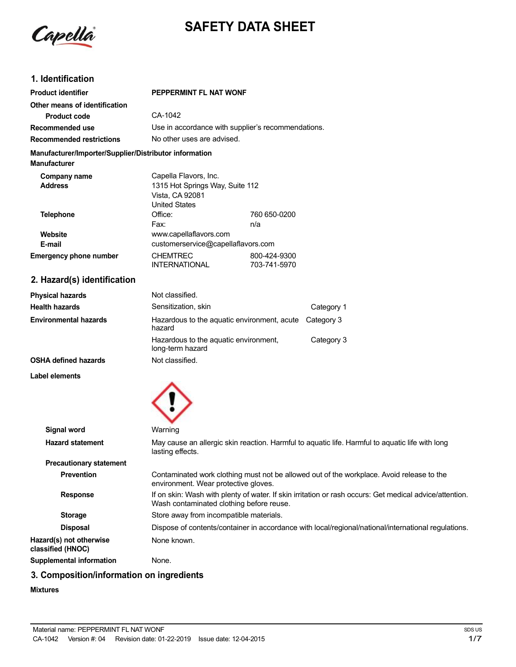

# **SAFETY DATA SHEET**

## **1. Identification**

| <b>Product identifier</b>                                                     | PEPPERMINT FL NAT WONF                                                     |                                                    |  |
|-------------------------------------------------------------------------------|----------------------------------------------------------------------------|----------------------------------------------------|--|
| Other means of identification                                                 |                                                                            |                                                    |  |
| <b>Product code</b>                                                           | CA-1042                                                                    |                                                    |  |
| Recommended use                                                               |                                                                            | Use in accordance with supplier's recommendations. |  |
| <b>Recommended restrictions</b>                                               |                                                                            | No other uses are advised.                         |  |
| Manufacturer/Importer/Supplier/Distributor information<br><b>Manufacturer</b> |                                                                            |                                                    |  |
| Company name                                                                  | Capella Flavors, Inc.                                                      |                                                    |  |
| <b>Address</b>                                                                | 1315 Hot Springs Way, Suite 112<br>Vista, CA 92081<br><b>United States</b> |                                                    |  |
| Telephone                                                                     | Office:<br>Fax:                                                            | 760 650-0200<br>n/a                                |  |
| Website                                                                       | www.capellaflavors.com                                                     |                                                    |  |
| E-mail                                                                        | customerservice@capellaflavors.com                                         |                                                    |  |
| <b>Emergency phone number</b>                                                 | <b>CHEMTREC</b><br><b>INTERNATIONAL</b>                                    | 800-424-9300<br>703-741-5970                       |  |

## **2. Hazard(s) identification**

| <b>Physical hazards</b> | Not classified.                                                  |            |
|-------------------------|------------------------------------------------------------------|------------|
| Health hazards          | Sensitization, skin                                              | Category 1 |
| Environmental hazards   | Hazardous to the aquatic environment, acute Category 3<br>hazard |            |
|                         | Hazardous to the aquatic environment,<br>long-term hazard        | Category 3 |
| OSHA defined hazards    | Not classified.                                                  |            |

#### **Label elements**



| Signal word                                  | Warning                                                                                                                                             |
|----------------------------------------------|-----------------------------------------------------------------------------------------------------------------------------------------------------|
| <b>Hazard statement</b>                      | May cause an allergic skin reaction. Harmful to aquatic life. Harmful to aquatic life with long<br>lasting effects.                                 |
| <b>Precautionary statement</b>               |                                                                                                                                                     |
| <b>Prevention</b>                            | Contaminated work clothing must not be allowed out of the workplace. Avoid release to the<br>environment. Wear protective gloves.                   |
| <b>Response</b>                              | If on skin: Wash with plenty of water. If skin irritation or rash occurs: Get medical advice/attention.<br>Wash contaminated clothing before reuse. |
| <b>Storage</b>                               | Store away from incompatible materials.                                                                                                             |
| <b>Disposal</b>                              | Dispose of contents/container in accordance with local/regional/national/international regulations.                                                 |
| Hazard(s) not otherwise<br>classified (HNOC) | None known.                                                                                                                                         |
| <b>Supplemental information</b>              | None.                                                                                                                                               |

### **3. Composition/information on ingredients**

#### **Mixtures**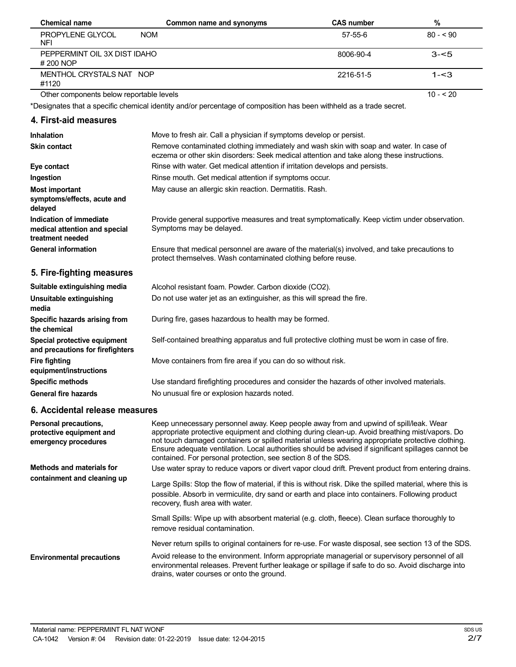| <b>Chemical name</b>                         | Common name and synonyms | <b>CAS number</b> | $\%$       |
|----------------------------------------------|--------------------------|-------------------|------------|
| PROPYLENE GLYCOL<br><b>NOM</b><br><b>NFI</b> |                          | 57-55-6           | $80 - 90$  |
| PEPPERMINT OIL 3X DIST IDAHO<br>#200 NOP     |                          | 8006-90-4         | $3 - 5$    |
| MENTHOL CRYSTALS NAT NOP<br>#1120            |                          | 2216-51-5         | $1 - 3$    |
| Other components below reportable levels     |                          |                   | $10 - 520$ |

\*Designates that a specific chemical identity and/or percentage of composition has been withheld as a trade secret.

#### **4. First-aid measures**

| <b>Inhalation</b>                                                            | Move to fresh air. Call a physician if symptoms develop or persist.                                                                                                                 |
|------------------------------------------------------------------------------|-------------------------------------------------------------------------------------------------------------------------------------------------------------------------------------|
| <b>Skin contact</b>                                                          | Remove contaminated clothing immediately and wash skin with soap and water. In case of<br>eczema or other skin disorders: Seek medical attention and take along these instructions. |
| Eye contact                                                                  | Rinse with water. Get medical attention if irritation develops and persists.                                                                                                        |
| Ingestion                                                                    | Rinse mouth. Get medical attention if symptoms occur.                                                                                                                               |
| <b>Most important</b><br>symptoms/effects, acute and<br>delayed              | May cause an allergic skin reaction. Dermatitis. Rash.                                                                                                                              |
| Indication of immediate<br>medical attention and special<br>treatment needed | Provide general supportive measures and treat symptomatically. Keep victim under observation.<br>Symptoms may be delayed.                                                           |
| <b>General information</b>                                                   | Ensure that medical personnel are aware of the material(s) involved, and take precautions to<br>protect themselves. Wash contaminated clothing before reuse.                        |
| 5. Fire-fighting measures                                                    |                                                                                                                                                                                     |
| Suitable extinguishing media                                                 | Alcohol resistant foam. Powder. Carbon dioxide (CO2).                                                                                                                               |
| Unsuitable extinguishing<br>media                                            | Do not use water jet as an extinguisher, as this will spread the fire.                                                                                                              |
| Specific hazards arising from<br>the chemical                                | During fire, gases hazardous to health may be formed.                                                                                                                               |
| Special protective equipment<br>and precautions for firefighters             | Self-contained breathing apparatus and full protective clothing must be worn in case of fire.                                                                                       |
| <b>Fire fighting</b><br>equipment/instructions                               | Move containers from fire area if you can do so without risk.                                                                                                                       |
| <b>Specific methods</b>                                                      | Use standard firefighting procedures and consider the hazards of other involved materials.                                                                                          |
| <b>General fire hazards</b>                                                  | No unusual fire or explosion hazards noted.                                                                                                                                         |

### **6. Accidental release measures**

| Personal precautions,<br>protective equipment and<br>emergency procedures | Keep unnecessary personnel away. Keep people away from and upwind of spill/leak. Wear<br>appropriate protective equipment and clothing during clean-up. Avoid breathing mist/vapors. Do<br>not touch damaged containers or spilled material unless wearing appropriate protective clothing.<br>Ensure adequate ventilation. Local authorities should be advised if significant spillages cannot be<br>contained. For personal protection, see section 8 of the SDS. |
|---------------------------------------------------------------------------|---------------------------------------------------------------------------------------------------------------------------------------------------------------------------------------------------------------------------------------------------------------------------------------------------------------------------------------------------------------------------------------------------------------------------------------------------------------------|
| Methods and materials for                                                 | Use water spray to reduce vapors or divert vapor cloud drift. Prevent product from entering drains.                                                                                                                                                                                                                                                                                                                                                                 |
| containment and cleaning up                                               | Large Spills: Stop the flow of material, if this is without risk. Dike the spilled material, where this is<br>possible. Absorb in vermiculite, dry sand or earth and place into containers. Following product<br>recovery, flush area with water.                                                                                                                                                                                                                   |
|                                                                           | Small Spills: Wipe up with absorbent material (e.g. cloth, fleece). Clean surface thoroughly to<br>remove residual contamination.                                                                                                                                                                                                                                                                                                                                   |
|                                                                           | Never return spills to original containers for re-use. For waste disposal, see section 13 of the SDS.                                                                                                                                                                                                                                                                                                                                                               |
| <b>Environmental precautions</b>                                          | Avoid release to the environment. Inform appropriate managerial or supervisory personnel of all<br>environmental releases. Prevent further leakage or spillage if safe to do so. Avoid discharge into<br>drains, water courses or onto the ground.                                                                                                                                                                                                                  |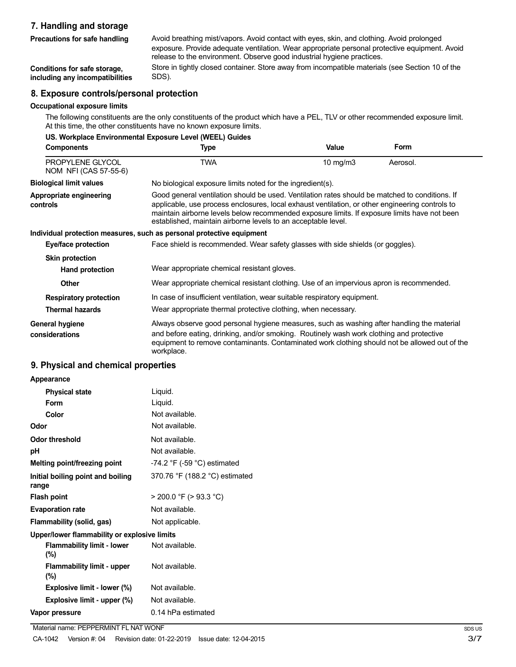#### **7. Handling and storage**

**Precautions for safe handling**

Avoid breathing mist/vapors. Avoid contact with eyes, skin, and clothing. Avoid prolonged exposure. Provide adequate ventilation. Wear appropriate personal protective equipment. Avoid release to the environment. Observe good industrial hygiene practices. Store in tightly closed container. Store away from incompatible materials (see Section 10 of the

**Conditions for safe storage, including any incompatibilities**

# **8. Exposure controls/personal protection**

SDS).

#### **Occupational exposure limits**

The following constituents are the only constituents of the product which have a PEL, TLV or other recommended exposure limit. At this time, the other constituents have no known exposure limits.

| US. Workplace Environmental Exposure Level (WEEL) Guides |                                                                                                                                                                                                                                                                                                                                                                    |          |          |  |
|----------------------------------------------------------|--------------------------------------------------------------------------------------------------------------------------------------------------------------------------------------------------------------------------------------------------------------------------------------------------------------------------------------------------------------------|----------|----------|--|
| <b>Components</b>                                        | Type                                                                                                                                                                                                                                                                                                                                                               | Value    | Form     |  |
| PROPYLENE GLYCOL<br>NOM NFI (CAS 57-55-6)                | <b>TWA</b>                                                                                                                                                                                                                                                                                                                                                         | 10 mg/m3 | Aerosol. |  |
| <b>Biological limit values</b>                           | No biological exposure limits noted for the ingredient(s).                                                                                                                                                                                                                                                                                                         |          |          |  |
| Appropriate engineering<br>controls                      | Good general ventilation should be used. Ventilation rates should be matched to conditions. If<br>applicable, use process enclosures, local exhaust ventilation, or other engineering controls to<br>maintain airborne levels below recommended exposure limits. If exposure limits have not been<br>established, maintain airborne levels to an acceptable level. |          |          |  |
|                                                          | Individual protection measures, such as personal protective equipment                                                                                                                                                                                                                                                                                              |          |          |  |
| Eye/face protection                                      | Face shield is recommended. Wear safety glasses with side shields (or goggles).                                                                                                                                                                                                                                                                                    |          |          |  |
| <b>Skin protection</b>                                   |                                                                                                                                                                                                                                                                                                                                                                    |          |          |  |
| Hand protection                                          | Wear appropriate chemical resistant gloves.                                                                                                                                                                                                                                                                                                                        |          |          |  |
| <b>Other</b>                                             | Wear appropriate chemical resistant clothing. Use of an impervious apron is recommended.                                                                                                                                                                                                                                                                           |          |          |  |
| <b>Respiratory protection</b>                            | In case of insufficient ventilation, wear suitable respiratory equipment.                                                                                                                                                                                                                                                                                          |          |          |  |
| <b>Thermal hazards</b>                                   | Wear appropriate thermal protective clothing, when necessary.                                                                                                                                                                                                                                                                                                      |          |          |  |
| General hygiene<br>considerations                        | Always observe good personal hygiene measures, such as washing after handling the material<br>and before eating, drinking, and/or smoking. Routinely wash work clothing and protective<br>equipment to remove contaminants. Contaminated work clothing should not be allowed out of the<br>workplace.                                                              |          |          |  |

#### **9. Physical and chemical properties**

#### **Appearance**

| <b>Physical state</b>                        | Liquid.                                       |
|----------------------------------------------|-----------------------------------------------|
| Form                                         | Liquid.                                       |
| Color                                        | Not available.                                |
| Odor                                         | Not available.                                |
| <b>Odor threshold</b>                        | Not available.                                |
| рH                                           | Not available.                                |
| Melting point/freezing point                 | -74.2 $\degree$ F (-59 $\degree$ C) estimated |
| Initial boiling point and boiling<br>range   | 370.76 °F (188.2 °C) estimated                |
| <b>Flash point</b>                           | > 200.0 °F (> 93.3 °C)                        |
| <b>Evaporation rate</b>                      | Not available.                                |
| Flammability (solid, gas)                    | Not applicable.                               |
| Upper/lower flammability or explosive limits |                                               |
| <b>Flammability limit - lower</b><br>(%)     | Not available.                                |
| Flammability limit - upper<br>(%)            | Not available.                                |
| Explosive limit - lower (%)                  | Not available.                                |
| Explosive limit - upper (%)                  | Not available.                                |
| Vapor pressure                               | 0.14 hPa estimated                            |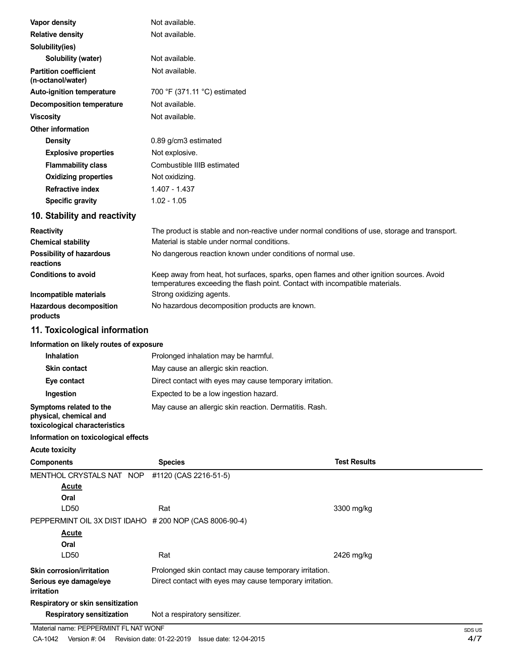| Vapor density                                                                      | Not available.                                                                                                                                                           |                     |  |
|------------------------------------------------------------------------------------|--------------------------------------------------------------------------------------------------------------------------------------------------------------------------|---------------------|--|
| <b>Relative density</b>                                                            | Not available.                                                                                                                                                           |                     |  |
| Solubility(ies)                                                                    |                                                                                                                                                                          |                     |  |
| Solubility (water)                                                                 | Not available.                                                                                                                                                           |                     |  |
| <b>Partition coefficient</b><br>(n-octanol/water)                                  | Not available.                                                                                                                                                           |                     |  |
| Auto-ignition temperature                                                          | 700 °F (371.11 °C) estimated                                                                                                                                             |                     |  |
| <b>Decomposition temperature</b>                                                   | Not available.                                                                                                                                                           |                     |  |
| <b>Viscosity</b>                                                                   | Not available.                                                                                                                                                           |                     |  |
| <b>Other information</b>                                                           |                                                                                                                                                                          |                     |  |
| <b>Density</b>                                                                     | 0.89 g/cm3 estimated                                                                                                                                                     |                     |  |
| <b>Explosive properties</b>                                                        | Not explosive.                                                                                                                                                           |                     |  |
| <b>Flammability class</b>                                                          | Combustible IIIB estimated                                                                                                                                               |                     |  |
| <b>Oxidizing properties</b>                                                        | Not oxidizing.                                                                                                                                                           |                     |  |
| <b>Refractive index</b>                                                            | 1.407 - 1.437                                                                                                                                                            |                     |  |
| <b>Specific gravity</b>                                                            | $1.02 - 1.05$                                                                                                                                                            |                     |  |
| 10. Stability and reactivity                                                       |                                                                                                                                                                          |                     |  |
| <b>Reactivity</b>                                                                  | The product is stable and non-reactive under normal conditions of use, storage and transport.                                                                            |                     |  |
| <b>Chemical stability</b>                                                          | Material is stable under normal conditions.                                                                                                                              |                     |  |
| <b>Possibility of hazardous</b><br>reactions                                       | No dangerous reaction known under conditions of normal use.                                                                                                              |                     |  |
| <b>Conditions to avoid</b>                                                         | Keep away from heat, hot surfaces, sparks, open flames and other ignition sources. Avoid<br>temperatures exceeding the flash point. Contact with incompatible materials. |                     |  |
| Incompatible materials                                                             | Strong oxidizing agents.                                                                                                                                                 |                     |  |
| Hazardous decomposition<br>products                                                | No hazardous decomposition products are known.                                                                                                                           |                     |  |
| 11. Toxicological information                                                      |                                                                                                                                                                          |                     |  |
| Information on likely routes of exposure                                           |                                                                                                                                                                          |                     |  |
| <b>Inhalation</b>                                                                  | Prolonged inhalation may be harmful.                                                                                                                                     |                     |  |
| <b>Skin contact</b>                                                                | May cause an allergic skin reaction.                                                                                                                                     |                     |  |
| Eye contact                                                                        | Direct contact with eyes may cause temporary irritation.                                                                                                                 |                     |  |
| Ingestion                                                                          | Expected to be a low ingestion hazard.                                                                                                                                   |                     |  |
| Symptoms related to the<br>physical, chemical and<br>toxicological characteristics | May cause an allergic skin reaction. Dermatitis. Rash.                                                                                                                   |                     |  |
| Information on toxicological effects                                               |                                                                                                                                                                          |                     |  |
| <b>Acute toxicity</b>                                                              |                                                                                                                                                                          |                     |  |
| <b>Components</b>                                                                  | <b>Species</b>                                                                                                                                                           | <b>Test Results</b> |  |
| MENTHOL CRYSTALS NAT NOP                                                           | #1120 (CAS 2216-51-5)                                                                                                                                                    |                     |  |
| <u>Acute</u>                                                                       |                                                                                                                                                                          |                     |  |
| Oral                                                                               |                                                                                                                                                                          |                     |  |
| LD50                                                                               | Rat                                                                                                                                                                      | 3300 mg/kg          |  |
| PEPPERMINT OIL 3X DIST IDAHO # 200 NOP (CAS 8006-90-4)                             |                                                                                                                                                                          |                     |  |
| <u>Acute</u>                                                                       |                                                                                                                                                                          |                     |  |
| Oral                                                                               |                                                                                                                                                                          |                     |  |

| <b>Components</b>                           | <b>Species</b>                                         | <b>Test Results</b>                                      |
|---------------------------------------------|--------------------------------------------------------|----------------------------------------------------------|
| MENTHOL CRYSTALS NAT NOP                    | #1120 (CAS 2216-51-5)                                  |                                                          |
| Acute                                       |                                                        |                                                          |
| Oral                                        |                                                        |                                                          |
| LD <sub>50</sub>                            | Rat                                                    | 3300 mg/kg                                               |
|                                             | PEPPERMINT OIL 3X DIST IDAHO # 200 NOP (CAS 8006-90-4) |                                                          |
| Acute                                       |                                                        |                                                          |
| Oral                                        |                                                        |                                                          |
| LD <sub>50</sub>                            | Rat                                                    | 2426 mg/kg                                               |
| <b>Skin corrosion/irritation</b>            |                                                        | Prolonged skin contact may cause temporary irritation.   |
| Serious eye damage/eye<br><i>irritation</i> |                                                        | Direct contact with eyes may cause temporary irritation. |
| Respiratory or skin sensitization           |                                                        |                                                          |
| <b>Respiratory sensitization</b>            | Not a respiratory sensitizer.                          |                                                          |
| _______.  __                                |                                                        |                                                          |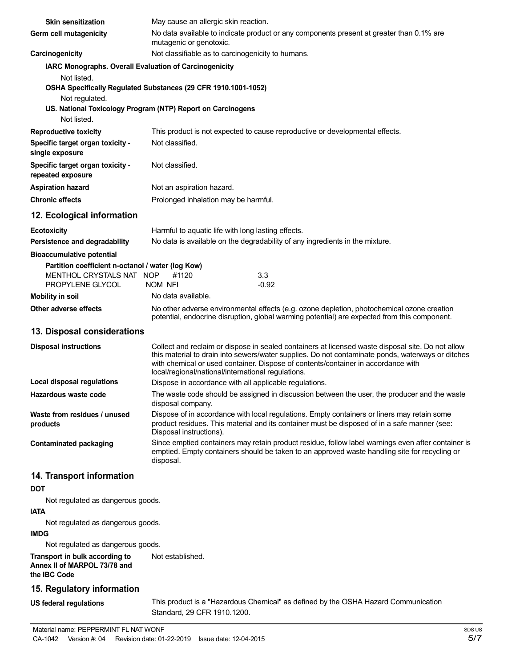| <b>Skin sensitization</b>                                                                              | May cause an allergic skin reaction.                                                                                                                                                                                                                                                                                                              |  |  |
|--------------------------------------------------------------------------------------------------------|---------------------------------------------------------------------------------------------------------------------------------------------------------------------------------------------------------------------------------------------------------------------------------------------------------------------------------------------------|--|--|
| Germ cell mutagenicity                                                                                 | No data available to indicate product or any components present at greater than 0.1% are<br>mutagenic or genotoxic.                                                                                                                                                                                                                               |  |  |
| Carcinogenicity                                                                                        | Not classifiable as to carcinogenicity to humans.                                                                                                                                                                                                                                                                                                 |  |  |
| IARC Monographs. Overall Evaluation of Carcinogenicity<br>Not listed.<br>Not regulated.<br>Not listed. | OSHA Specifically Regulated Substances (29 CFR 1910.1001-1052)<br>US. National Toxicology Program (NTP) Report on Carcinogens                                                                                                                                                                                                                     |  |  |
| <b>Reproductive toxicity</b>                                                                           | This product is not expected to cause reproductive or developmental effects.                                                                                                                                                                                                                                                                      |  |  |
| Specific target organ toxicity -<br>single exposure                                                    | Not classified.                                                                                                                                                                                                                                                                                                                                   |  |  |
| Specific target organ toxicity -<br>repeated exposure                                                  | Not classified.                                                                                                                                                                                                                                                                                                                                   |  |  |
| <b>Aspiration hazard</b>                                                                               | Not an aspiration hazard.                                                                                                                                                                                                                                                                                                                         |  |  |
| <b>Chronic effects</b>                                                                                 | Prolonged inhalation may be harmful.                                                                                                                                                                                                                                                                                                              |  |  |
| 12. Ecological information                                                                             |                                                                                                                                                                                                                                                                                                                                                   |  |  |
| <b>Ecotoxicity</b>                                                                                     | Harmful to aquatic life with long lasting effects.                                                                                                                                                                                                                                                                                                |  |  |
| Persistence and degradability                                                                          | No data is available on the degradability of any ingredients in the mixture.                                                                                                                                                                                                                                                                      |  |  |
| <b>Bioaccumulative potential</b>                                                                       |                                                                                                                                                                                                                                                                                                                                                   |  |  |
| Partition coefficient n-octanol / water (log Kow)<br>MENTHOL CRYSTALS NAT NOP<br>PROPYLENE GLYCOL      | 3.3<br>#1120<br>NOM NFI<br>$-0.92$                                                                                                                                                                                                                                                                                                                |  |  |
| <b>Mobility in soil</b>                                                                                | No data available.                                                                                                                                                                                                                                                                                                                                |  |  |
| Other adverse effects                                                                                  | No other adverse environmental effects (e.g. ozone depletion, photochemical ozone creation<br>potential, endocrine disruption, global warming potential) are expected from this component.                                                                                                                                                        |  |  |
| 13. Disposal considerations                                                                            |                                                                                                                                                                                                                                                                                                                                                   |  |  |
| <b>Disposal instructions</b>                                                                           | Collect and reclaim or dispose in sealed containers at licensed waste disposal site. Do not allow<br>this material to drain into sewers/water supplies. Do not contaminate ponds, waterways or ditches<br>with chemical or used container. Dispose of contents/container in accordance with<br>local/regional/national/international regulations. |  |  |
| <b>Local disposal regulations</b>                                                                      | Dispose in accordance with all applicable regulations.                                                                                                                                                                                                                                                                                            |  |  |
| Hazardous waste code                                                                                   | The waste code should be assigned in discussion between the user, the producer and the waste<br>disposal company.                                                                                                                                                                                                                                 |  |  |
| Waste from residues / unused<br>products                                                               | Dispose of in accordance with local regulations. Empty containers or liners may retain some<br>product residues. This material and its container must be disposed of in a safe manner (see:<br>Disposal instructions).                                                                                                                            |  |  |
| <b>Contaminated packaging</b>                                                                          | Since emptied containers may retain product residue, follow label warnings even after container is<br>emptied. Empty containers should be taken to an approved waste handling site for recycling or<br>disposal.                                                                                                                                  |  |  |
| 14. Transport information                                                                              |                                                                                                                                                                                                                                                                                                                                                   |  |  |
| <b>DOT</b>                                                                                             |                                                                                                                                                                                                                                                                                                                                                   |  |  |
| Not regulated as dangerous goods.                                                                      |                                                                                                                                                                                                                                                                                                                                                   |  |  |
| <b>IATA</b>                                                                                            |                                                                                                                                                                                                                                                                                                                                                   |  |  |
| Not regulated as dangerous goods.                                                                      |                                                                                                                                                                                                                                                                                                                                                   |  |  |
| <b>IMDG</b><br>Not regulated as dangerous goods.                                                       |                                                                                                                                                                                                                                                                                                                                                   |  |  |
| Transport in bulk according to<br>Annex II of MARPOL 73/78 and<br>the IBC Code                         | Not established.                                                                                                                                                                                                                                                                                                                                  |  |  |
| 15 Requisions information                                                                              |                                                                                                                                                                                                                                                                                                                                                   |  |  |

**15. Regulatory information**

**US federal regulations**

This product is a "Hazardous Chemical" as defined by the OSHA Hazard Communication Standard, 29 CFR 1910.1200.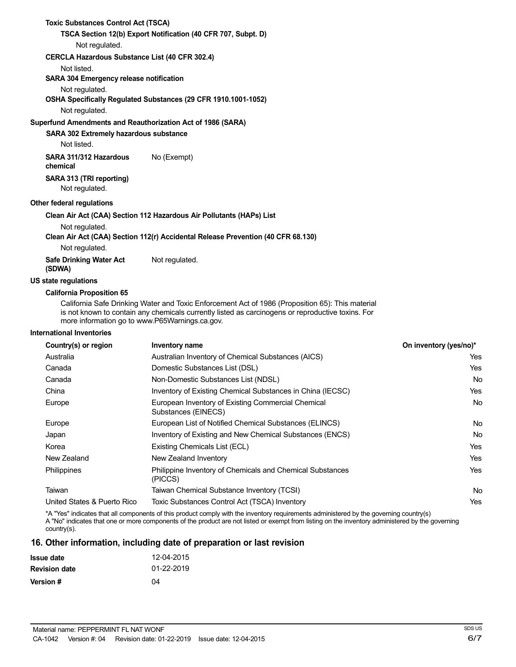| <b>Toxic Substances Control Act (TSCA)</b>                                                                                                                                                                                                              |
|---------------------------------------------------------------------------------------------------------------------------------------------------------------------------------------------------------------------------------------------------------|
| TSCA Section 12(b) Export Notification (40 CFR 707, Subpt. D)                                                                                                                                                                                           |
| Not regulated.                                                                                                                                                                                                                                          |
| CERCLA Hazardous Substance List (40 CFR 302.4)                                                                                                                                                                                                          |
| Not listed.                                                                                                                                                                                                                                             |
| <b>SARA 304 Emergency release notification</b>                                                                                                                                                                                                          |
| Not regulated.                                                                                                                                                                                                                                          |
| OSHA Specifically Regulated Substances (29 CFR 1910.1001-1052)                                                                                                                                                                                          |
| Not regulated.                                                                                                                                                                                                                                          |
| Superfund Amendments and Reauthorization Act of 1986 (SARA)                                                                                                                                                                                             |
| <b>SARA 302 Extremely hazardous substance</b>                                                                                                                                                                                                           |
| Not listed.                                                                                                                                                                                                                                             |
| No (Exempt)<br>SARA 311/312 Hazardous<br>chemical                                                                                                                                                                                                       |
| SARA 313 (TRI reporting)                                                                                                                                                                                                                                |
| Not regulated.                                                                                                                                                                                                                                          |
| <b>Other federal regulations</b>                                                                                                                                                                                                                        |
| Clean Air Act (CAA) Section 112 Hazardous Air Pollutants (HAPs) List                                                                                                                                                                                    |
| Not regulated.                                                                                                                                                                                                                                          |
| Clean Air Act (CAA) Section 112(r) Accidental Release Prevention (40 CFR 68.130)                                                                                                                                                                        |
| Not regulated.                                                                                                                                                                                                                                          |
| Not regulated.<br><b>Safe Drinking Water Act</b><br>(SDWA)                                                                                                                                                                                              |
| <b>US state regulations</b>                                                                                                                                                                                                                             |
| <b>California Proposition 65</b>                                                                                                                                                                                                                        |
| California Safe Drinking Water and Toxic Enforcement Act of 1986 (Proposition 65): This material<br>is not known to contain any chemicals currently listed as carcinogens or reproductive toxins. For<br>more information go to www.P65Warnings.ca.gov. |
| <b>International Inventories</b>                                                                                                                                                                                                                        |

| Country(s) or region        | Inventory name                                                            | On inventory (yes/no)* |
|-----------------------------|---------------------------------------------------------------------------|------------------------|
| Australia                   | Australian Inventory of Chemical Substances (AICS)                        | Yes                    |
| Canada                      | Domestic Substances List (DSL)                                            | Yes                    |
| Canada                      | Non-Domestic Substances List (NDSL)                                       | No                     |
| China                       | Inventory of Existing Chemical Substances in China (IECSC)                | Yes                    |
| Europe                      | European Inventory of Existing Commercial Chemical<br>Substances (EINECS) | No                     |
| Europe                      | European List of Notified Chemical Substances (ELINCS)                    | No                     |
| Japan                       | Inventory of Existing and New Chemical Substances (ENCS)                  | No                     |
| Korea                       | Existing Chemicals List (ECL)                                             | Yes                    |
| New Zealand                 | New Zealand Inventory                                                     | Yes                    |
| Philippines                 | Philippine Inventory of Chemicals and Chemical Substances<br>(PICCS)      | Yes                    |
| Taiwan                      | Taiwan Chemical Substance Inventory (TCSI)                                | No                     |
| United States & Puerto Rico | Toxic Substances Control Act (TSCA) Inventory                             | Yes                    |
|                             |                                                                           |                        |

\*A "Yes" indicates that all components of this product comply with the inventory requirements administered by the governing country(s) A "No" indicates that one or more components of the product are not listed or exempt from listing on the inventory administered by the governing country(s).

## **16. Other information, including date of preparation or last revision**

| <b>Issue date</b>    | 12-04-2015 |
|----------------------|------------|
| <b>Revision date</b> | 01-22-2019 |
| Version #            | 04         |